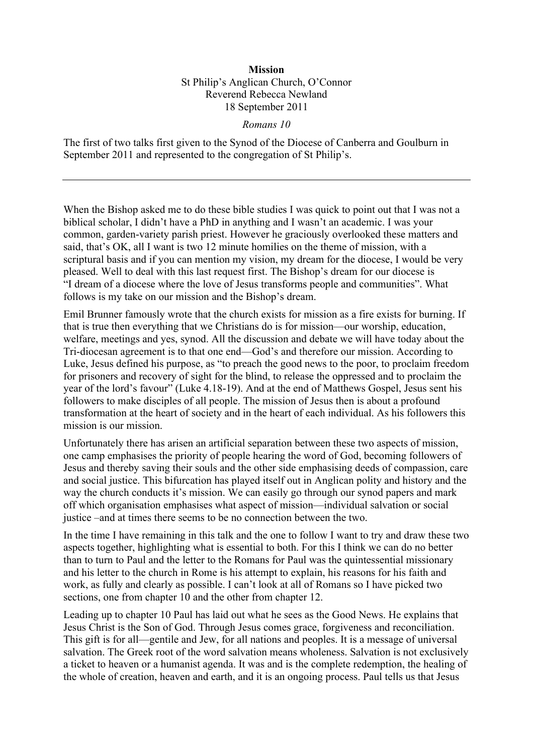## **Mission** St Philip's Anglican Church, O'Connor Reverend Rebecca Newland 18 September 2011

## *Romans 10*

The first of two talks first given to the Synod of the Diocese of Canberra and Goulburn in September 2011 and represented to the congregation of St Philip's.

When the Bishop asked me to do these bible studies I was quick to point out that I was not a biblical scholar, I didn't have a PhD in anything and I wasn't an academic. I was your common, garden-variety parish priest. However he graciously overlooked these matters and said, that's OK, all I want is two 12 minute homilies on the theme of mission, with a scriptural basis and if you can mention my vision, my dream for the diocese, I would be very pleased. Well to deal with this last request first. The Bishop's dream for our diocese is "I dream of a diocese where the love of Jesus transforms people and communities". What follows is my take on our mission and the Bishop's dream.

Emil Brunner famously wrote that the church exists for mission as a fire exists for burning. If that is true then everything that we Christians do is for mission—our worship, education, welfare, meetings and yes, synod. All the discussion and debate we will have today about the Tri-diocesan agreement is to that one end—God's and therefore our mission. According to Luke, Jesus defined his purpose, as "to preach the good news to the poor, to proclaim freedom for prisoners and recovery of sight for the blind, to release the oppressed and to proclaim the year of the lord's favour" (Luke 4.18-19). And at the end of Matthews Gospel, Jesus sent his followers to make disciples of all people. The mission of Jesus then is about a profound transformation at the heart of society and in the heart of each individual. As his followers this mission is our mission.

Unfortunately there has arisen an artificial separation between these two aspects of mission, one camp emphasises the priority of people hearing the word of God, becoming followers of Jesus and thereby saving their souls and the other side emphasising deeds of compassion, care and social justice. This bifurcation has played itself out in Anglican polity and history and the way the church conducts it's mission. We can easily go through our synod papers and mark off which organisation emphasises what aspect of mission—individual salvation or social justice –and at times there seems to be no connection between the two.

In the time I have remaining in this talk and the one to follow I want to try and draw these two aspects together, highlighting what is essential to both. For this I think we can do no better than to turn to Paul and the letter to the Romans for Paul was the quintessential missionary and his letter to the church in Rome is his attempt to explain, his reasons for his faith and work, as fully and clearly as possible. I can't look at all of Romans so I have picked two sections, one from chapter 10 and the other from chapter 12.

Leading up to chapter 10 Paul has laid out what he sees as the Good News. He explains that Jesus Christ is the Son of God. Through Jesus comes grace, forgiveness and reconciliation. This gift is for all—gentile and Jew, for all nations and peoples. It is a message of universal salvation. The Greek root of the word salvation means wholeness. Salvation is not exclusively a ticket to heaven or a humanist agenda. It was and is the complete redemption, the healing of the whole of creation, heaven and earth, and it is an ongoing process. Paul tells us that Jesus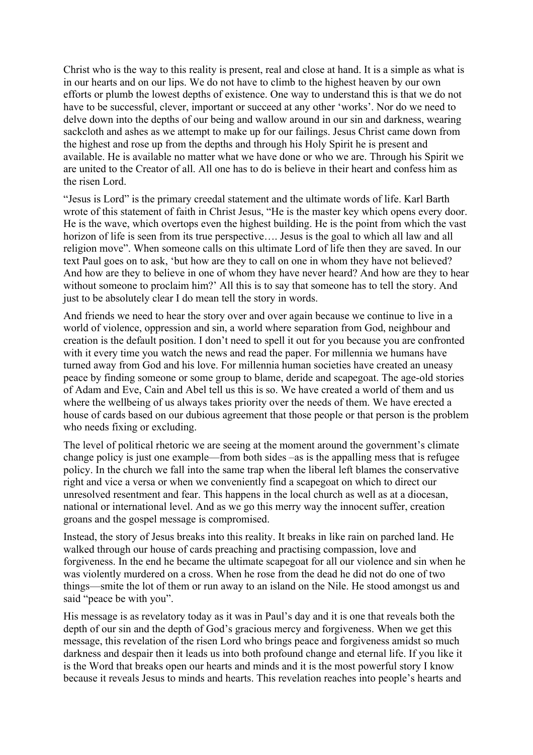Christ who is the way to this reality is present, real and close at hand. It is a simple as what is in our hearts and on our lips. We do not have to climb to the highest heaven by our own efforts or plumb the lowest depths of existence. One way to understand this is that we do not have to be successful, clever, important or succeed at any other 'works'. Nor do we need to delve down into the depths of our being and wallow around in our sin and darkness, wearing sackcloth and ashes as we attempt to make up for our failings. Jesus Christ came down from the highest and rose up from the depths and through his Holy Spirit he is present and available. He is available no matter what we have done or who we are. Through his Spirit we are united to the Creator of all. All one has to do is believe in their heart and confess him as the risen Lord.

"Jesus is Lord" is the primary creedal statement and the ultimate words of life. Karl Barth wrote of this statement of faith in Christ Jesus, "He is the master key which opens every door. He is the wave, which overtops even the highest building. He is the point from which the vast horizon of life is seen from its true perspective.... Jesus is the goal to which all law and all religion move". When someone calls on this ultimate Lord of life then they are saved. In our text Paul goes on to ask, 'but how are they to call on one in whom they have not believed? And how are they to believe in one of whom they have never heard? And how are they to hear without someone to proclaim him?' All this is to say that someone has to tell the story. And just to be absolutely clear I do mean tell the story in words.

And friends we need to hear the story over and over again because we continue to live in a world of violence, oppression and sin, a world where separation from God, neighbour and creation is the default position. I don't need to spell it out for you because you are confronted with it every time you watch the news and read the paper. For millennia we humans have turned away from God and his love. For millennia human societies have created an uneasy peace by finding someone or some group to blame, deride and scapegoat. The age-old stories of Adam and Eve, Cain and Abel tell us this is so. We have created a world of them and us where the wellbeing of us always takes priority over the needs of them. We have erected a house of cards based on our dubious agreement that those people or that person is the problem who needs fixing or excluding.

The level of political rhetoric we are seeing at the moment around the government's climate change policy is just one example—from both sides –as is the appalling mess that is refugee policy. In the church we fall into the same trap when the liberal left blames the conservative right and vice a versa or when we conveniently find a scapegoat on which to direct our unresolved resentment and fear. This happens in the local church as well as at a diocesan, national or international level. And as we go this merry way the innocent suffer, creation groans and the gospel message is compromised.

Instead, the story of Jesus breaks into this reality. It breaks in like rain on parched land. He walked through our house of cards preaching and practising compassion, love and forgiveness. In the end he became the ultimate scapegoat for all our violence and sin when he was violently murdered on a cross. When he rose from the dead he did not do one of two things—smite the lot of them or run away to an island on the Nile. He stood amongst us and said "peace be with you".

His message is as revelatory today as it was in Paul's day and it is one that reveals both the depth of our sin and the depth of God's gracious mercy and forgiveness. When we get this message, this revelation of the risen Lord who brings peace and forgiveness amidst so much darkness and despair then it leads us into both profound change and eternal life. If you like it is the Word that breaks open our hearts and minds and it is the most powerful story I know because it reveals Jesus to minds and hearts. This revelation reaches into people's hearts and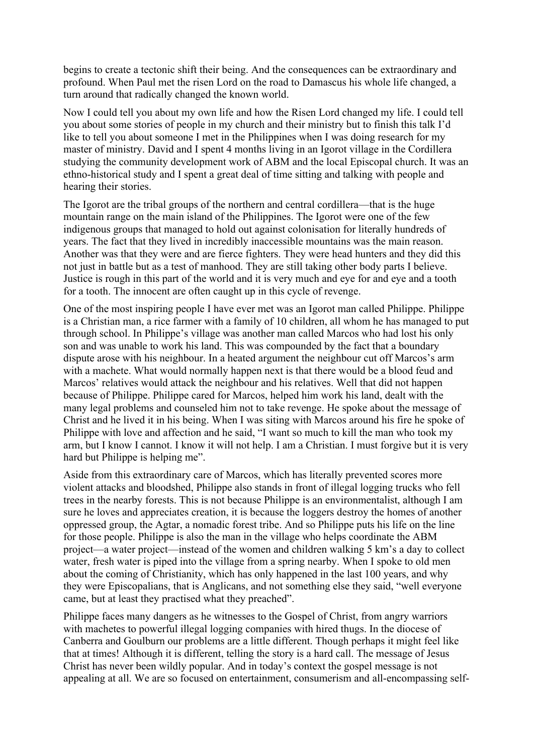begins to create a tectonic shift their being. And the consequences can be extraordinary and profound. When Paul met the risen Lord on the road to Damascus his whole life changed, a turn around that radically changed the known world.

Now I could tell you about my own life and how the Risen Lord changed my life. I could tell you about some stories of people in my church and their ministry but to finish this talk I'd like to tell you about someone I met in the Philippines when I was doing research for my master of ministry. David and I spent 4 months living in an Igorot village in the Cordillera studying the community development work of ABM and the local Episcopal church. It was an ethno-historical study and I spent a great deal of time sitting and talking with people and hearing their stories.

The Igorot are the tribal groups of the northern and central cordillera—that is the huge mountain range on the main island of the Philippines. The Igorot were one of the few indigenous groups that managed to hold out against colonisation for literally hundreds of years. The fact that they lived in incredibly inaccessible mountains was the main reason. Another was that they were and are fierce fighters. They were head hunters and they did this not just in battle but as a test of manhood. They are still taking other body parts I believe. Justice is rough in this part of the world and it is very much and eye for and eye and a tooth for a tooth. The innocent are often caught up in this cycle of revenge.

One of the most inspiring people I have ever met was an Igorot man called Philippe. Philippe is a Christian man, a rice farmer with a family of 10 children, all whom he has managed to put through school. In Philippe's village was another man called Marcos who had lost his only son and was unable to work his land. This was compounded by the fact that a boundary dispute arose with his neighbour. In a heated argument the neighbour cut off Marcos's arm with a machete. What would normally happen next is that there would be a blood feud and Marcos' relatives would attack the neighbour and his relatives. Well that did not happen because of Philippe. Philippe cared for Marcos, helped him work his land, dealt with the many legal problems and counseled him not to take revenge. He spoke about the message of Christ and he lived it in his being. When I was siting with Marcos around his fire he spoke of Philippe with love and affection and he said, "I want so much to kill the man who took my arm, but I know I cannot. I know it will not help. I am a Christian. I must forgive but it is very hard but Philippe is helping me".

Aside from this extraordinary care of Marcos, which has literally prevented scores more violent attacks and bloodshed, Philippe also stands in front of illegal logging trucks who fell trees in the nearby forests. This is not because Philippe is an environmentalist, although I am sure he loves and appreciates creation, it is because the loggers destroy the homes of another oppressed group, the Agtar, a nomadic forest tribe. And so Philippe puts his life on the line for those people. Philippe is also the man in the village who helps coordinate the ABM project—a water project—instead of the women and children walking 5 km's a day to collect water, fresh water is piped into the village from a spring nearby. When I spoke to old men about the coming of Christianity, which has only happened in the last 100 years, and why they were Episcopalians, that is Anglicans, and not something else they said, "well everyone came, but at least they practised what they preached".

Philippe faces many dangers as he witnesses to the Gospel of Christ, from angry warriors with machetes to powerful illegal logging companies with hired thugs. In the diocese of Canberra and Goulburn our problems are a little different. Though perhaps it might feel like that at times! Although it is different, telling the story is a hard call. The message of Jesus Christ has never been wildly popular. And in today's context the gospel message is not appealing at all. We are so focused on entertainment, consumerism and all-encompassing self-